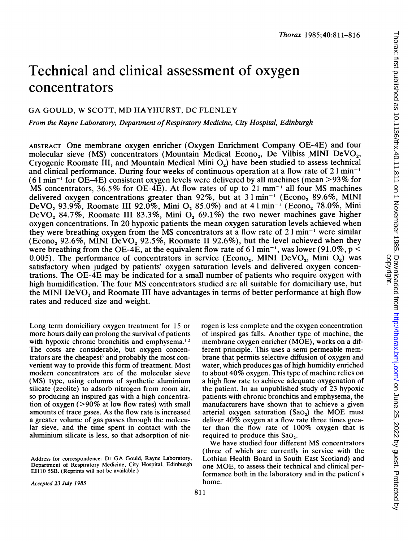# Technical and clinical assessment of oxygen concentrators

# GA GOULD, W SCOTT, MD HAYHURST, DC FLENLEY

From the Rayne Laboratory, Department of Respiratory Medicine, City Hospital, Edinburgh

ABSTRACT One membrane oxygen enricher (Oxygen Enrichment Company OE-4E) and four molecular sieve (MS) concentrators (Mountain Medical Econo<sub>2</sub>, De Vilbiss MINI DeVO<sub>2</sub>, Cryogenic Roomate III, and Mountain Medical Mini 02) have been studied to assess technical and clinical performance. During four weeks of continuous operation at a flow rate of  $2 \, \text{l min}^{-1}$  $(6 \text{ l min}^{-1}$  for OE-4E) consistent oxygen levels were delivered by all machines (mean  $>93\%$  for MS concentrators, 36.5% for OE-4E). At flow rates of up to 21 mm<sup>-1</sup> all four MS machines delivered oxygen concentrations greater than  $92\%$ , but at  $31 \text{ min}^{-1}$  (Econo<sub>2</sub> 89.6%, MINI DeVO<sub>2</sub> 93.9%, Roomate III 92.0%, Mini O<sub>2</sub> 85.0%) and at 4  $1 \text{ min}^{-1}$  (Econo<sub>2</sub> 78.0%, Mini DeVO<sub>2</sub> 84.7%, Roomate III 83.3%, Mini O<sub>2</sub> 69.1%) the two newer machines gave higher oxygen concentrations. In 20 hypoxic patients the mean oxygen saturation levels achieved when they were breathing oxygen from the MS concentrators at a flow rate of  $2 \text{ l min}^{-1}$  were similar (Econo<sub>2</sub> 92.6%, MINI DeVO<sub>2</sub> 92.5%, Roomate II 92.6%), but the level achieved when they were breathing from the OE-4E, at the equivalent flow rate of 6 1 min<sup>-1</sup>, was lower (91.0%, p  $\leq$ 0.005). The performance of concentrators in service (Econo<sub>2</sub>, MINI DeVO<sub>2</sub>, Mini O<sub>2</sub>) was satisfactory when judged by patients' oxygen saturation levels and delivered oxygen concentrations. The OE-4E may be indicated for a small number of patients who require oxygen with high humidification. The four MS concentrators studied are all suitable for domiciliary use, but the MINI DeVO<sub>2</sub> and Roomate III have advantages in terms of better performance at high flow rates and reduced size and weight.

Long term domiciliary oxygen treatment for 15 or more hours daily can prolong the survival of patients with hypoxic chronic bronchitis and emphysema.<sup>12</sup> The costs are considerable, but oxygen concentrators are the cheapest<sup>3</sup> and probably the most convenient way to provide this form of treatment. Most modem concentrators are of the molecular sieve (MS) type, using columns of synthetic aluminium silicate (zeolite) to adsorb nitrogen from room air, so producing an inspired gas with a high concentration of oxygen  $(>90\%$  at low flow rates) with small amounts of trace gases. As the flow rate is increased a greater volume of gas passes through the molecular sieve, and the time spent in contact with the aluminium silicate is less, so that adsorption of nitrogen is less complete and the oxygen concentration of inspired gas falls. Another type of machine, the membrane oxygen enricher (MOE), works on a different principle. This uses a semi permeable membrane that permits selective diffusion of oxygen and water, which produces gas of high humidity enriched to about 40% oxygen. This type of machine relies on a high flow rate to achieve adequate oxygenation of the patient. In an unpublished study of 23 hypoxic patients with chronic bronchitis and emphysema, the manufacturers have shown that to achieve a given arterial oxygen saturation (Sao<sub>2</sub>) the MOE must deliver 40% oxygen at <sup>a</sup> flow rate three times greater than the flow rate of 100% oxygen that is required to produce this Sao,.

We have studied four different MS concentrators (three of which are currently in service with the Lothian Health Board in South East Scotland) and one MOE, to assess their technical and clinical performance both in the laboratory and in the patient's home.

Accepted 23 July 1985

Address for correspondence: Dr GA Gould, Rayne Laboratory, Department of Respiratory Medicine, City Hospital, Edinburgh EH10 5SB. (Reprints will not be available.)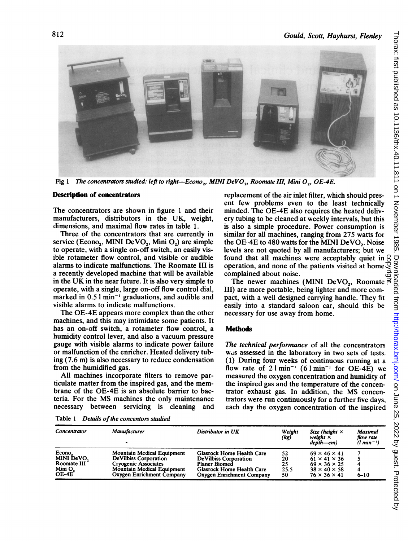

Fig 1 The concentrators studied: left to right-Econo,, MINI DeVO,, Roomate III, Mini O,, OE-4E.

#### Description of concentrators

The concentrators are shown in figure <sup>1</sup> and their manufacturers, distributors in the UK, weight, dimensions, and maximal flow rates in table 1.

Three of the concentrators that are currently in service (Econo<sub>2</sub>, MINI DeVO<sub>2</sub>, Mini O<sub>2</sub>) are simple to operate, with a single on-off switch, an easily visible rotameter flow control, and visible or audible alarms to indicate malfunctions. The Roomate III is a recently developed machine that will be available in the UK in the near future. It is also very simple to operate, with a single, large on-off flow control dial, marked in  $0.51$  min<sup>-1</sup> graduations, and audible and visible alarms to indicate malfunctions.

The OE-4E appears more complex than the other machines, and this may intimidate some patients. It has an on-off switch, a rotameter flow control, a humidity control lever, and also a vacuum pressure gauge with visible alarms to indicate power failure or malfunction of the enricher. Heated delivery tubing (7.6 m) is also necessary to reduce condensation from the humidified gas.

All machines incorporate filters to remove particulate matter from the inspired gas, and the membrane of the OE-4E is an absolute barrier to bacteria. For the MS machines the only maintenance necessary between servicing is cleaning and replacement of the air inlet filter, which should present few problems even to the least technically minded. The OE-4E also requires the heated delivery tubing to be cleaned at weekly intervals, but this is also a simple procedure. Power consumption is similar for all machines, ranging from 275 watts for the OE  $4E$  to  $480$  watts for the MINI DeVO<sub>2</sub>. Noise levels are not quoted by all manufacturers; but we found that all machines were acceptably quiet in  $\beta$ operation, and none of the patients visited at home complained about noise. und that all machines were acceptably quiet in  $\frac{S}{S}$ <br>eration, and none of the patients visited at home  $\frac{S}{S}$ <br>mplained about noise.<br>The newer machines (MINI DeVO<sub>2</sub>, Roomate

III) are more portable, being lighter and more compact, with a well designed carrying handle. They fit easily into a standard saloon car, should this be necessary for use away from home.

#### **Methods**

The technical performance of all the concentrators was assessed in the laboratory in two sets of tests. (1) During four weeks of continuous running at a flow rate of  $2 \text{ l min}^{-1}$  (6  $\text{l min}^{-1}$  for OE-4E) we measured the oxygen concentration and humidity of the inspired gas and the temperature of the concentrator exhaust gas. In addition, the MS concentrators were run continuously for a further five days, each day the oxygen concentration of the inspired

Table <sup>1</sup> Details of the concentors studied

| Concentrator                                               | Manufacturer                                                                                                                                                 | Distributor in UK                                                                                                                           | Weight<br>(kg)               | Size (height $\times$<br>weight $\times$<br>$de$ pth $-cm$                                                                               | Maximal<br>flow rate<br>$(l \ min^{-1})$ |
|------------------------------------------------------------|--------------------------------------------------------------------------------------------------------------------------------------------------------------|---------------------------------------------------------------------------------------------------------------------------------------------|------------------------------|------------------------------------------------------------------------------------------------------------------------------------------|------------------------------------------|
| Econo.<br>MINI DeVO.<br>Roomate III<br>Mini $O_2$<br>OE-4E | <b>Mountain Medical Equipment</b><br>De Vilbiss Corporation<br><b>Cryogenic Associates</b><br><b>Mountain Medical Equipment</b><br>Oxygen Enrichment Company | Glasrock Home Health Care<br><b>DeVilbiss Corporation</b><br><b>Planer Biomed</b><br>Glasrock Home Health Care<br>Oxygen Enrichment Company | 52<br>20<br>25<br>25.5<br>50 | $69 \times 46 \times 41$<br>$61 \times 41 \times 36$<br>$69 \times 36 \times 25$<br>$38 \times 40 \times 58$<br>$76 \times 36 \times 41$ | 4<br>4<br>$6 - 10$                       |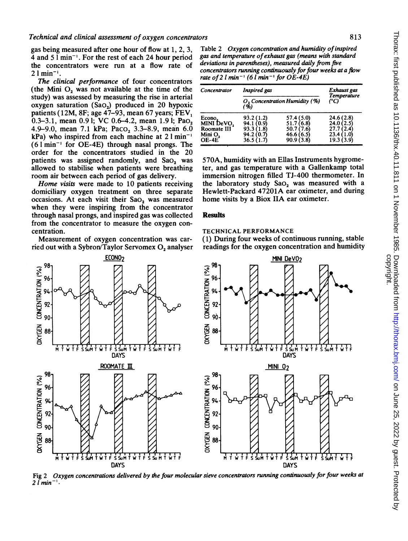gas being measured after one hour of flow at 1, 2, 3, 4 and 5 <sup>1</sup> min-'. For the rest of each 24 hour period the concentrators were run at a flow rate of  $21$  min<sup>-1</sup>.

The clinical performance of four concentrators (the Mini  $O<sub>2</sub>$  was not available at the time of the study) was assessed by measuring the rise in arterial oxygen saturation  $(Sao_2)$  produced in 20 hypoxic patients (12M, 8F; age  $47-93$ , mean 67 years; FEV<sub>1</sub> 0.3-3.1, mean 0.91; VC 0.6-4.2, mean 1.91; Pao, 4.9-9.0, mean 7.1 kPa; Paco<sub>2</sub> 3.3-8.9, mean 6.0  $kPa$ ) who inspired from each machine at 2  $1 min^{-1}$  $(61 \text{min}^{-1}$  for OE-4E) through nasal prongs. The order for the concentrators studied in the 20 patients was assigned randomly, and Sao, was allowed to stabilise when patients were breathing room air between each period of gas delivery.

Home visits were made to 10 patients receiving domiciliary oxygen treatment on three separate occasions. At each visit their  $Sao_2$  was measured when they were inspiring from the concentrator through nasal prongs, and inspired gas was collected from the concentrator to measure the oxygen concentration.

Measurement of oxygen concentration was carried out with a Sybron/Taylor Servomex O, analyser ECON<sub>02</sub>

7

 $\mathfrak{S}$   $^{98}$ ]



Table 2 Oxygen concentration and humidity of inspired gas and temperature ofexhaust gas (means with standard deviations in parentheses), measured daily from five concentrators running continuously for four weeks at a flow rate of 2  $l$  min<sup>-1</sup> (6  $l$  min<sup>-1</sup> for OE-4E)

| Concentrator                                              | Inspired gas<br>O <sub>2</sub> Concentration Humidity (%)<br>(%) |                                                                  | Exhaust gas<br><b>Temperature</b><br>(°C)                             |  |
|-----------------------------------------------------------|------------------------------------------------------------------|------------------------------------------------------------------|-----------------------------------------------------------------------|--|
|                                                           |                                                                  |                                                                  |                                                                       |  |
| Econo,<br>MINI DeVO,<br>Roomate III<br>Mini O,<br>$OE-4E$ | 93.2(1.2)<br>94.1 (0.9)<br>93.3(1.8)<br>94.2 (0.7)<br>36.5(1.7)  | 57.4 (5.0)<br>51.7(6.8)<br>50.7 (7.6)<br>46.6 (6.5)<br>90.9(3.8) | 24.6(2.8)<br>24.0 (2.5)<br>27.71<br>2.4<br>23.4<br>1.01<br>19.3 (3.9) |  |

570A, humidity with an Ellas Instruments hygrometer, and gas temperature with a Gallenkamp total immersion nitrogen filled TJ-400 thermometer. In the laboratory study SaO<sub>2</sub> was measured with a Hewlett-Packard 47201A ear oximeter, and during home visits by a Biox IIA ear oximeter.

#### Results

#### TECHNICAL PERFORMANCE

(1) During four weeks of continuous running, stable readings for the oxygen concentration and humidity



Fig 2 Oxygen concentrations delivered by the four molecular sieve concentrators running continuously for four weeks at  $21$  min<sup>-</sup>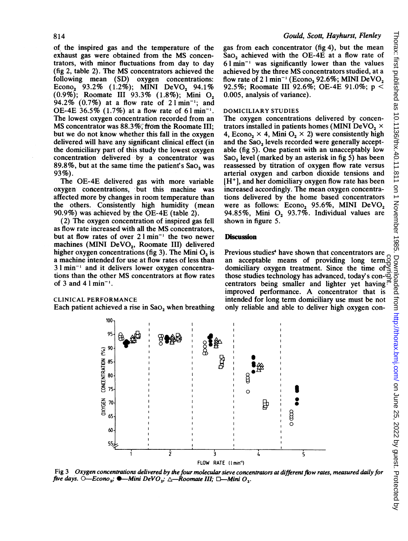of the inspired gas and the temperature of the exhaust gas were obtained from the MS concentrators, with minor fluctuations from day to day (fig 2, table 2). The MS concentrators achieved the following mean (SD) oxygen concentrations: Econo<sub>2</sub> 93.2% (1.2%); MINI DeVO<sub>2</sub> 94.1% (0.9%); Roomate III 93.3% (1.8%); Mini 02 94.2% (0.7%) at a flow rate of  $2 \text{ l min}^{-1}$ ; and OE-4E  $36.5\%$  (1.7%) at a flow rate of 61 min<sup>-1</sup>. The lowest oxygen concentration recorded from an MS concentrator was 88.3%; from the Roomate III; but we do not know whether this fall in the oxygen delivered will have any significant clinical effect (in the domiciliary part of this study the lowest oxygen concentration delivered by a concentrator was 89.8%, but at the same time the patient's Sao, was 93%).

The OE-4E delivered gas with more variable oxygen concentrations, but this machine was affected more by changes in room temperature than the others. Consistently high humidity (mean 90.9%) was achieved by the OE-4E (table 2).

(2) The oxygen concentration of inspired gas fell as flow rate increased with all the MS concentrators, but at flow rates of over  $2 \cdot \text{lnin}^{-1}$  the two newer machines (MINI DeVO<sub>2</sub>, Roomate III) delivered higher oxygen concentrations (fig 3). The Mini  $O<sub>2</sub>$  is a machine intended for use at flow rates of less than  $3 \text{ l min}^{-1}$  and it delivers lower oxygen concentrations' than the other MS concentrators at flow rates of 3 and 41 $min^{-1}$ .

#### CLINICAL PERFORMANCE

Each patient achieved a rise in  $Sao_2$  when breathing

gas from each concentrator (fig 4), but the mean Sao, achieved with the OE-4E at a flow rate of  $61$  min<sup>-1</sup> was significantly lower than the values achieved by the three MS concentrators studied, at <sup>a</sup> flow rate of 2  $1$  min<sup>-1</sup> (Econo<sub>2</sub> 92.6%; MINI DeVO<sub>2</sub> 92.5%; Roomate III 92.6%; OE-4E 91.0%; p < 0.005, analysis of variance).

## DOMICILIARY STUDIES

The oxygen concentrations delivered by concentrators installed in patients homes (MINI DeVO<sub>2</sub>  $\times$ 4, Econo<sub>2</sub> × 4, Mini O<sub>2</sub> × 2) were consistently high and the Sao, levels recorded were generally acceptable (fig 5). One patient with an unacceptably low Sa $O<sub>2</sub>$  level (marked by an asterisk in fig 5) has been reassessed by titration of oxygen flow rate versus arterial oxygen and carbon dioxide tensions and  $[H<sup>+</sup>]$ , and her domiciliary oxygen flow rate has been increased accordingly. The mean oxygen concentrations delivered by the home based concentrators were as follows:  $Econo_2$  95.6%, MINI  $DeVO_2$ 94.85%, Mini  $O_2$  93.7%. Individual values are shown in figure 5.

## **Discussion**

Previous studies<sup>4</sup> have shown that concentrators are an acceptable means of providing long term  $\frac{3}{5}$ <br>domiciliary oxygen treatment. Since the time of  $\leq$ <br>those studies technology has advanced, today's con- $\frac{3}{5}$ <br>centrators being smaller and lighter vet baying domiciliary oxygen treatment. Since the time of those studies technology has advanced, today's concentrators being smaller and lighter yet having  $\vec{r}$ improved performance. A concentrator that is intended for long term domiciliary use must be not only reliable and able to deliver high oxygen con-



Fig 3 Oxygen concentrations delivered by the four molecular sieve concentrators at different flow rates, measured daily for five days.  $O$ -Econo<sub>2</sub>;  $\bullet$ -Mini DeVO<sub>2</sub>;  $\triangle$ -Roomate III;  $\Box$ -Mini O<sub>2</sub>.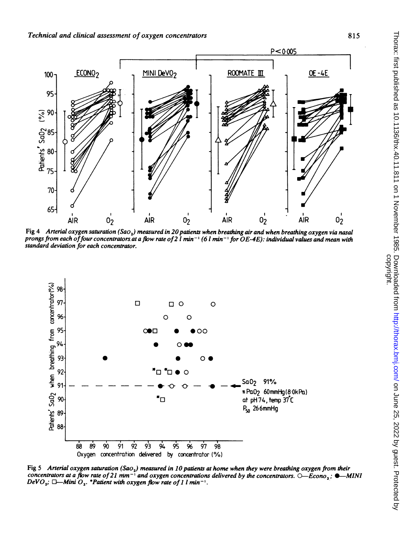Technical and clinical assessment of oxygen concentrators



Fig 4 Arterial oxygen saturation (Sao<sub>2</sub>) measured in 20 patients when breathing air and when breathing oxygen via nasal prongs from each of four concentrators at a flow rate of 2 l min<sup>-1</sup> (6 l min<sup>-1</sup> for OE-4E): individual values and mean with standard deviation for each concentrator.



Fig 5 Arterial oxygen saturation (Sao<sub>2</sub>) measured in 10 patients at home when they were breathing oxygen from their concentrators at a flow rate of 21 mm<sup>-1</sup> and oxygen concentrations delivered by the concentrators.  $O$ -Econo, :  $\bullet$ -MINI DeVO<sub>2</sub>;  $\Box$ —Mini O<sub>2</sub>. \*Patient with oxygen flow rate of 1 l min<sup>-1</sup>.